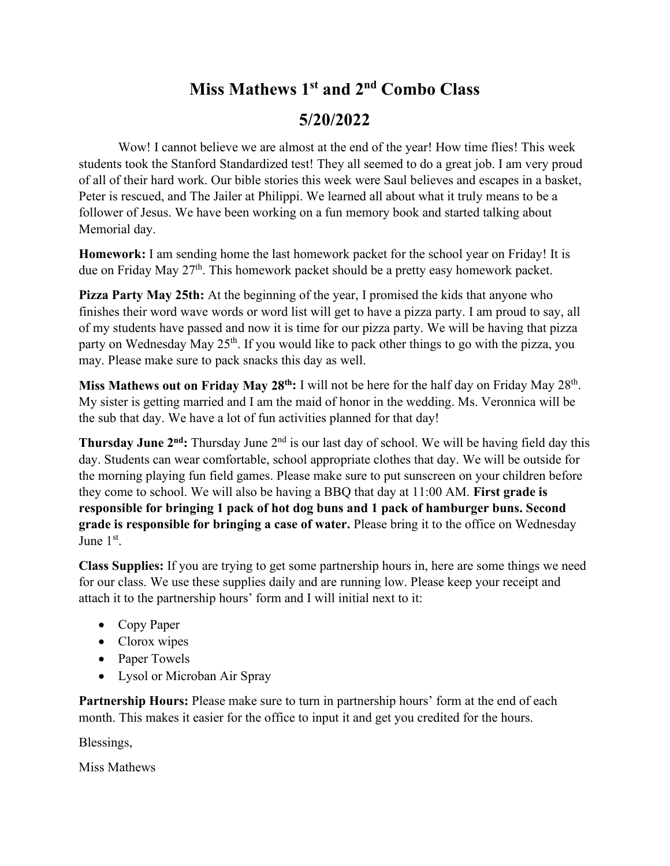## **Miss Mathews 1st and 2nd Combo Class 5/20/2022**

Wow! I cannot believe we are almost at the end of the year! How time flies! This week students took the Stanford Standardized test! They all seemed to do a great job. I am very proud of all of their hard work. Our bible stories this week were Saul believes and escapes in a basket, Peter is rescued, and The Jailer at Philippi. We learned all about what it truly means to be a follower of Jesus. We have been working on a fun memory book and started talking about Memorial day.

**Homework:** I am sending home the last homework packet for the school year on Friday! It is due on Friday May 27<sup>th</sup>. This homework packet should be a pretty easy homework packet.

**Pizza Party May 25th:** At the beginning of the year, I promised the kids that anyone who finishes their word wave words or word list will get to have a pizza party. I am proud to say, all of my students have passed and now it is time for our pizza party. We will be having that pizza party on Wednesday May 25<sup>th</sup>. If you would like to pack other things to go with the pizza, you may. Please make sure to pack snacks this day as well.

Miss Mathews out on Friday May 28<sup>th</sup>: I will not be here for the half day on Friday May 28<sup>th</sup>. My sister is getting married and I am the maid of honor in the wedding. Ms. Veronnica will be the sub that day. We have a lot of fun activities planned for that day!

**Thursday June 2<sup>nd</sup>:** Thursday June 2<sup>nd</sup> is our last day of school. We will be having field day this day. Students can wear comfortable, school appropriate clothes that day. We will be outside for the morning playing fun field games. Please make sure to put sunscreen on your children before they come to school. We will also be having a BBQ that day at 11:00 AM. **First grade is responsible for bringing 1 pack of hot dog buns and 1 pack of hamburger buns. Second grade is responsible for bringing a case of water.** Please bring it to the office on Wednesday June 1st.

**Class Supplies:** If you are trying to get some partnership hours in, here are some things we need for our class. We use these supplies daily and are running low. Please keep your receipt and attach it to the partnership hours' form and I will initial next to it:

- Copy Paper
- Clorox wipes
- Paper Towels
- Lysol or Microban Air Spray

Partnership Hours: Please make sure to turn in partnership hours' form at the end of each month. This makes it easier for the office to input it and get you credited for the hours.

Blessings,

Miss Mathews